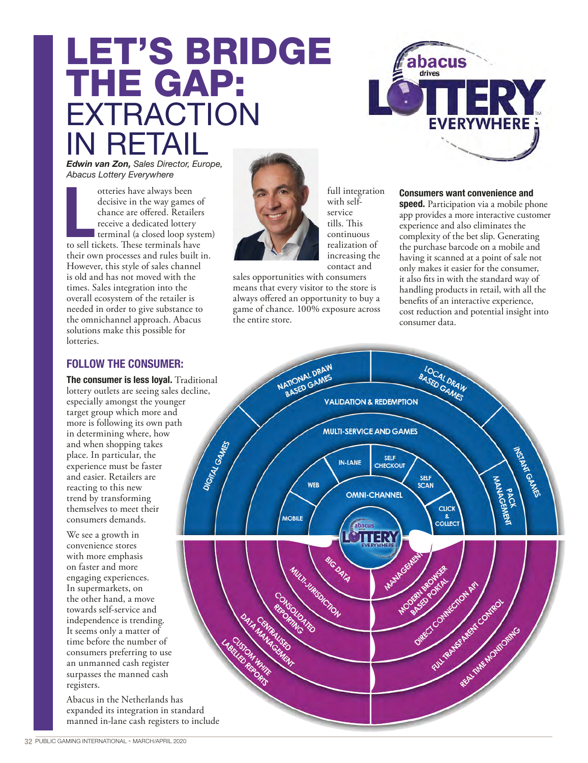# LET'S BRIDGE THE GAP: EXTRACTION IN RETAIL



*Edwin van Zon, Sales Director, Europe, Abacus Lottery Everywhere*

otteries have always been<br>decisive in the way games or<br>chance are offered. Retailers<br>receive a dedicated lottery<br>terminal (a closed loop syste<br>to sell tickets. These terminals have otteries have always been decisive in the way games of chance are offered. Retailers receive a dedicated lottery terminal (a closed loop system) their own processes and rules built in. However, this style of sales channel is old and has not moved with the times. Sales integration into the overall ecosystem of the retailer is needed in order to give substance to the omnichannel approach. Abacus solutions make this possible for lotteries.

## FOLLOW THE CONSUMER:

**The consumer is less loyal.** Traditional lottery outlets are seeing sales decline, especially amongst the younger target group which more and more is following its own path in determining where, how and when shopping takes place. In particular, the experience must be faster and easier. Retailers are reacting to this new trend by transforming themselves to meet their consumers demands.

We see a growth in convenience stores with more emphasis on faster and more engaging experiences. In supermarkets, on the other hand, a move towards self-service and independence is trending. It seems only a matter of time before the number of consumers preferring to use an unmanned cash register surpasses the manned cash registers.

Abacus in the Netherlands has expanded its integration in standard manned in-lane cash registers to include



full integration with selfservice tills. This continuous realization of increasing the contact and

sales opportunities with consumers means that every visitor to the store is always offered an opportunity to buy a game of chance. 100% exposure across the entire store.

#### **Consumers want convenience and**

**speed.** Participation via a mobile phone app provides a more interactive customer experience and also eliminates the complexity of the bet slip. Generating the purchase barcode on a mobile and having it scanned at a point of sale not only makes it easier for the consumer, it also fits in with the standard way of handling products in retail, with all the benefits of an interactive experience, cost reduction and potential insight into consumer data.